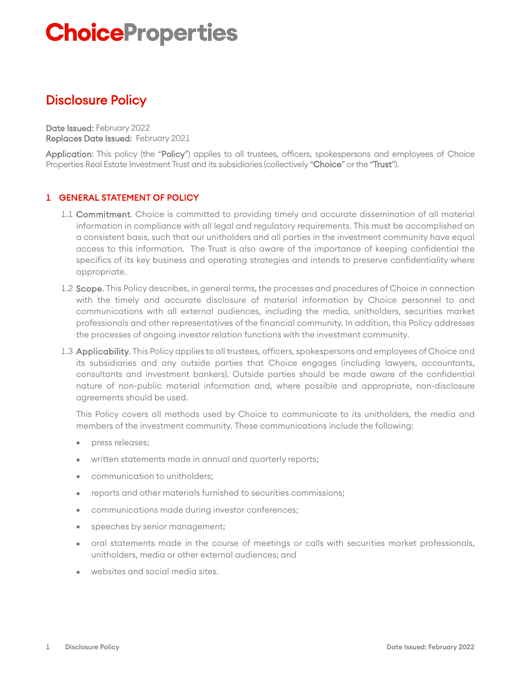# **ChoiceProperties**

# Disclosure Policy

Date Issued: February 2022 Replaces Date Issued: February 2021

Application: This policy (the "Policy") applies to all trustees, officers, spokespersons and employees of Choice Properties Real Estate Investment Trust and its subsidiaries (collectively "Choice" or the "Trust").

# 1 GENERAL STATEMENT OF POLICY

- 1.1 Commitment. Choice is committed to providing timely and accurate dissemination of all material information in compliance with all legal and regulatory requirements. This must be accomplished on a consistent basis, such that our unitholders and all parties in the investment community have equal access to this information. The Trust is also aware of the importance of keeping confidential the specifics of its key business and operating strategies and intends to preserve confidentiality where appropriate.
- 1.2 Scope. This Policy describes, in general terms, the processes and procedures of Choice in connection with the timely and accurate disclosure of material information by Choice personnel to and communications with all external audiences, including the media, unitholders, securities market professionals and other representatives of the financial community. In addition, this Policy addresses the processes of ongoing investor relation functions with the investment community.
- 1.3 Applicability. This Policy applies to all trustees, officers, spokespersons and employees of Choice and its subsidiaries and any outside parties that Choice engages (including lawyers, accountants, consultants and investment bankers). Outside parties should be made aware of the confidential nature of non-public material information and, where possible and appropriate, non-disclosure agreements should be used.

This Policy covers all methods used by Choice to communicate to its unitholders, the media and members of the investment community. These communications include the following:

- press releases;
- written statements made in annual and quarterly reports;
- communication to unitholders;
- reports and other materials furnished to securities commissions;
- communications made during investor conferences;
- speeches by senior management;
- oral statements made in the course of meetings or calls with securities market professionals, unitholders, media or other external audiences; and
- websites and social media sites.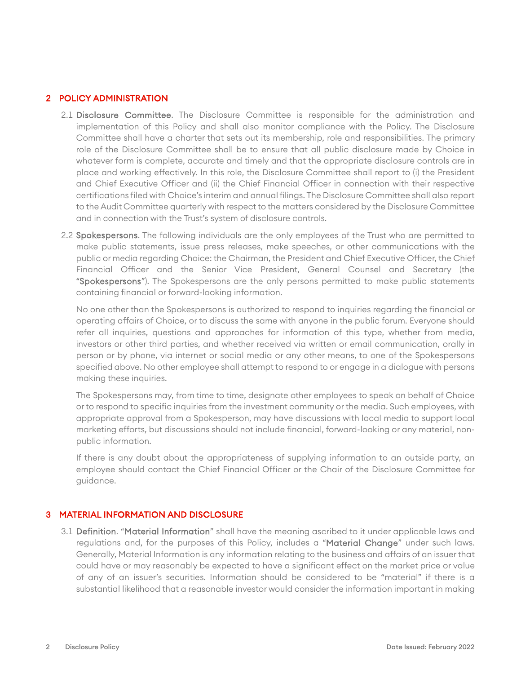# 2 POLICY ADMINISTRATION

- 2.1 Disclosure Committee. The Disclosure Committee is responsible for the administration and implementation of this Policy and shall also monitor compliance with the Policy. The Disclosure Committee shall have a charter that sets out its membership, role and responsibilities. The primary role of the Disclosure Committee shall be to ensure that all public disclosure made by Choice in whatever form is complete, accurate and timely and that the appropriate disclosure controls are in place and working effectively. In this role, the Disclosure Committee shall report to (i) the President and Chief Executive Officer and (ii) the Chief Financial Officer in connection with their respective certifications filed with Choice's interim and annual filings. The Disclosure Committee shall also report to the Audit Committee quarterly with respect to the matters considered by the Disclosure Committee and in connection with the Trust's system of disclosure controls.
- 2.2 Spokespersons. The following individuals are the only employees of the Trust who are permitted to make public statements, issue press releases, make speeches, or other communications with the public or media regarding Choice: the Chairman, the President and Chief Executive Officer, the Chief Financial Officer and the Senior Vice President, General Counsel and Secretary (the "Spokespersons"). The Spokespersons are the only persons permitted to make public statements containing financial or forward-looking information.

No one other than the Spokespersons is authorized to respond to inquiries regarding the financial or operating affairs of Choice, or to discuss the same with anyone in the public forum. Everyone should refer all inquiries, questions and approaches for information of this type, whether from media, investors or other third parties, and whether received via written or email communication, orally in person or by phone, via internet or social media or any other means, to one of the Spokespersons specified above. No other employee shall attempt to respond to or engage in a dialogue with persons making these inquiries.

The Spokespersons may, from time to time, designate other employees to speak on behalf of Choice or to respond to specific inquiries from the investment community or the media. Such employees, with appropriate approval from a Spokesperson, may have discussions with local media to support local marketing efforts, but discussions should not include financial, forward-looking or any material, nonpublic information.

If there is any doubt about the appropriateness of supplying information to an outside party, an employee should contact the Chief Financial Officer or the Chair of the Disclosure Committee for guidance.

#### 3 MATERIAL INFORMATION AND DISCLOSURE

3.1 Definition. "Material Information" shall have the meaning ascribed to it under applicable laws and regulations and, for the purposes of this Policy, includes a "Material Change" under such laws. Generally, Material Information is any information relating to the business and affairs of an issuer that could have or may reasonably be expected to have a significant effect on the market price or value of any of an issuer's securities. Information should be considered to be "material" if there is a substantial likelihood that a reasonable investor would consider the information important in making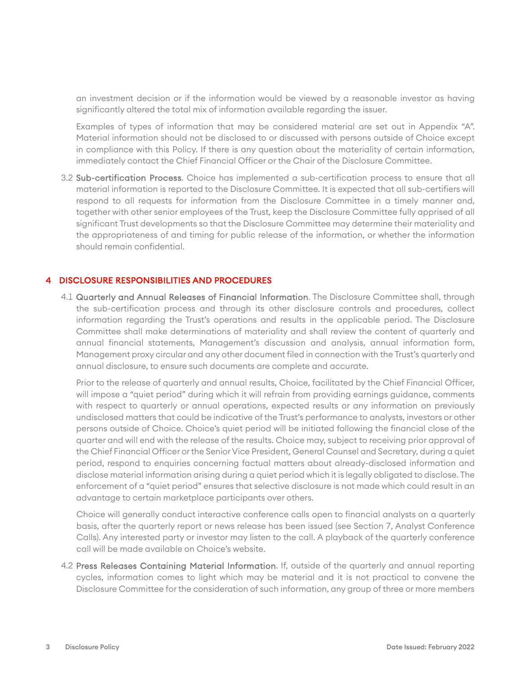an investment decision or if the information would be viewed by a reasonable investor as having significantly altered the total mix of information available regarding the issuer.

Examples of types of information that may be considered material are set out in Appendix "A". Material information should not be disclosed to or discussed with persons outside of Choice except in compliance with this Policy. If there is any question about the materiality of certain information, immediately contact the Chief Financial Officer or the Chair of the Disclosure Committee.

3.2 Sub-certification Process. Choice has implemented a sub-certification process to ensure that all material information is reported to the Disclosure Committee. It is expected that all sub-certifiers will respond to all requests for information from the Disclosure Committee in a timely manner and, together with other senior employees of the Trust, keep the Disclosure Committee fully apprised of all significant Trust developments so that the Disclosure Committee may determine their materiality and the appropriateness of and timing for public release of the information, or whether the information should remain confidential.

## 4 DISCLOSURE RESPONSIBILITIES AND PROCEDURES

4.1 Quarterly and Annual Releases of Financial Information. The Disclosure Committee shall, through the sub-certification process and through its other disclosure controls and procedures, collect information regarding the Trust's operations and results in the applicable period. The Disclosure Committee shall make determinations of materiality and shall review the content of quarterly and annual financial statements, Management's discussion and analysis, annual information form, Management proxy circular and any other document filed in connection with the Trust's quarterly and annual disclosure, to ensure such documents are complete and accurate.

Prior to the release of quarterly and annual results, Choice, facilitated by the Chief Financial Officer, will impose a "quiet period" during which it will refrain from providing earnings guidance, comments with respect to quarterly or annual operations, expected results or any information on previously undisclosed matters that could be indicative of the Trust's performance to analysts, investors or other persons outside of Choice. Choice's quiet period will be initiated following the financial close of the quarter and will end with the release of the results. Choice may, subject to receiving prior approval of the Chief Financial Officer or the Senior Vice President, General Counsel and Secretary, during a quiet period, respond to enquiries concerning factual matters about already-disclosed information and disclose material information arising during a quiet period which it is legally obligated to disclose. The enforcement of a "quiet period" ensures that selective disclosure is not made which could result in an advantage to certain marketplace participants over others.

Choice will generally conduct interactive conference calls open to financial analysts on a quarterly basis, after the quarterly report or news release has been issued (see Section 7, Analyst Conference Calls). Any interested party or investor may listen to the call. A playback of the quarterly conference call will be made available on Choice's website.

4.2 Press Releases Containing Material Information. If, outside of the quarterly and annual reporting cycles, information comes to light which may be material and it is not practical to convene the Disclosure Committee for the consideration of such information, any group of three or more members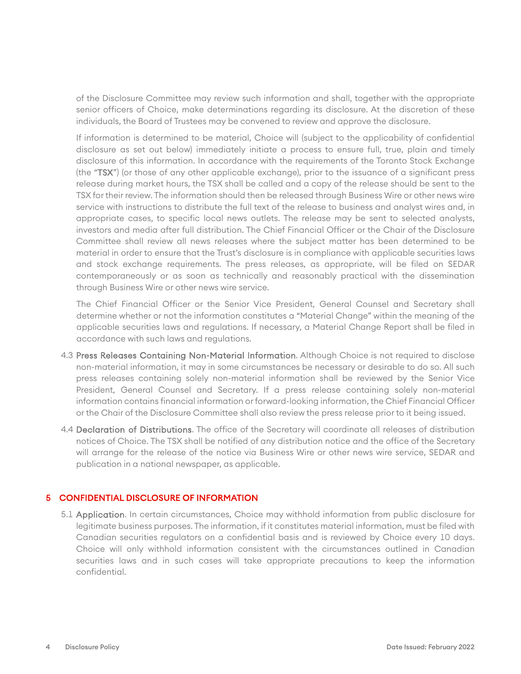of the Disclosure Committee may review such information and shall, together with the appropriate senior officers of Choice, make determinations regarding its disclosure. At the discretion of these individuals, the Board of Trustees may be convened to review and approve the disclosure.

If information is determined to be material, Choice will (subject to the applicability of confidential disclosure as set out below) immediately initiate a process to ensure full, true, plain and timely disclosure of this information. In accordance with the requirements of the Toronto Stock Exchange (the "TSX") (or those of any other applicable exchange), prior to the issuance of a significant press release during market hours, the TSX shall be called and a copy of the release should be sent to the TSX for their review. The information should then be released through Business Wire or other news wire service with instructions to distribute the full text of the release to business and analyst wires and, in appropriate cases, to specific local news outlets. The release may be sent to selected analysts, investors and media after full distribution. The Chief Financial Officer or the Chair of the Disclosure Committee shall review all news releases where the subject matter has been determined to be material in order to ensure that the Trust's disclosure is in compliance with applicable securities laws and stock exchange requirements. The press releases, as appropriate, will be filed on SEDAR contemporaneously or as soon as technically and reasonably practical with the dissemination through Business Wire or other news wire service.

The Chief Financial Officer or the Senior Vice President, General Counsel and Secretary shall determine whether or not the information constitutes a "Material Change" within the meaning of the applicable securities laws and regulations. If necessary, a Material Change Report shall be filed in accordance with such laws and regulations.

- 4.3 Press Releases Containing Non-Material Information. Although Choice is not required to disclose non-material information, it may in some circumstances be necessary or desirable to do so. All such press releases containing solely non-material information shall be reviewed by the Senior Vice President, General Counsel and Secretary. If a press release containing solely non-material information contains financial information or forward-looking information, the Chief Financial Officer or the Chair of the Disclosure Committee shall also review the press release prior to it being issued.
- 4.4 Declaration of Distributions. The office of the Secretary will coordinate all releases of distribution notices of Choice. The TSX shall be notified of any distribution notice and the office of the Secretary will arrange for the release of the notice via Business Wire or other news wire service, SEDAR and publication in a national newspaper, as applicable.

# 5 CONFIDENTIAL DISCLOSURE OF INFORMATION

5.1 Application. In certain circumstances, Choice may withhold information from public disclosure for legitimate business purposes. The information, if it constitutes material information, must be filed with Canadian securities regulators on a confidential basis and is reviewed by Choice every 10 days. Choice will only withhold information consistent with the circumstances outlined in Canadian securities laws and in such cases will take appropriate precautions to keep the information confidential.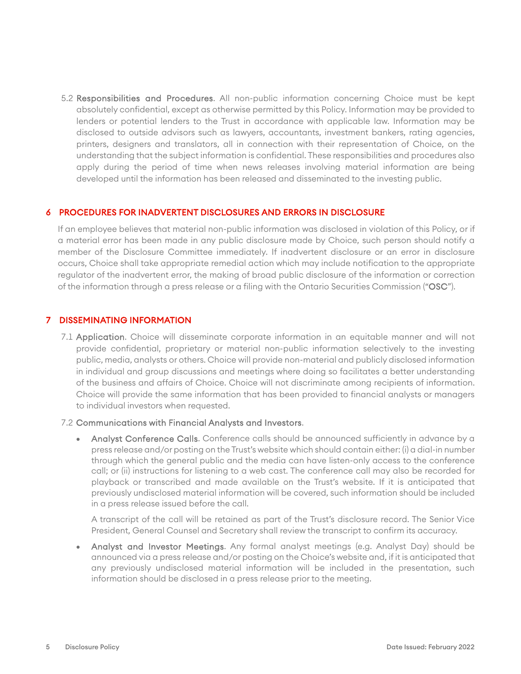5.2 Responsibilities and Procedures. All non-public information concerning Choice must be kept absolutely confidential, except as otherwise permitted by this Policy. Information may be provided to lenders or potential lenders to the Trust in accordance with applicable law. Information may be disclosed to outside advisors such as lawyers, accountants, investment bankers, rating agencies, printers, designers and translators, all in connection with their representation of Choice, on the understanding that the subject information is confidential. These responsibilities and procedures also apply during the period of time when news releases involving material information are being developed until the information has been released and disseminated to the investing public.

### 6 PROCEDURES FOR INADVERTENT DISCLOSURES AND ERRORS IN DISCLOSURE

If an employee believes that material non-public information was disclosed in violation of this Policy, or if a material error has been made in any public disclosure made by Choice, such person should notify a member of the Disclosure Committee immediately. If inadvertent disclosure or an error in disclosure occurs, Choice shall take appropriate remedial action which may include notification to the appropriate regulator of the inadvertent error, the making of broad public disclosure of the information or correction of the information through a press release or a filing with the Ontario Securities Commission ("OSC").

#### 7 DISSEMINATING INFORMATION

7.1 Application. Choice will disseminate corporate information in an equitable manner and will not provide confidential, proprietary or material non-public information selectively to the investing public, media, analysts or others. Choice will provide non-material and publicly disclosed information in individual and group discussions and meetings where doing so facilitates a better understanding of the business and affairs of Choice. Choice will not discriminate among recipients of information. Choice will provide the same information that has been provided to financial analysts or managers to individual investors when requested.

#### 7.2 Communications with Financial Analysts and Investors.

Analyst Conference Calls. Conference calls should be announced sufficiently in advance by a press release and/or posting on the Trust's website which should contain either: (i) a dial-in number through which the general public and the media can have listen-only access to the conference call; or (ii) instructions for listening to a web cast. The conference call may also be recorded for playback or transcribed and made available on the Trust's website. If it is anticipated that previously undisclosed material information will be covered, such information should be included in a press release issued before the call.

A transcript of the call will be retained as part of the Trust's disclosure record. The Senior Vice President, General Counsel and Secretary shall review the transcript to confirm its accuracy.

• Analyst and Investor Meetings. Any formal analyst meetings (e.g. Analyst Day) should be announced via a press release and/or posting on the Choice's website and, if it is anticipated that any previously undisclosed material information will be included in the presentation, such information should be disclosed in a press release prior to the meeting.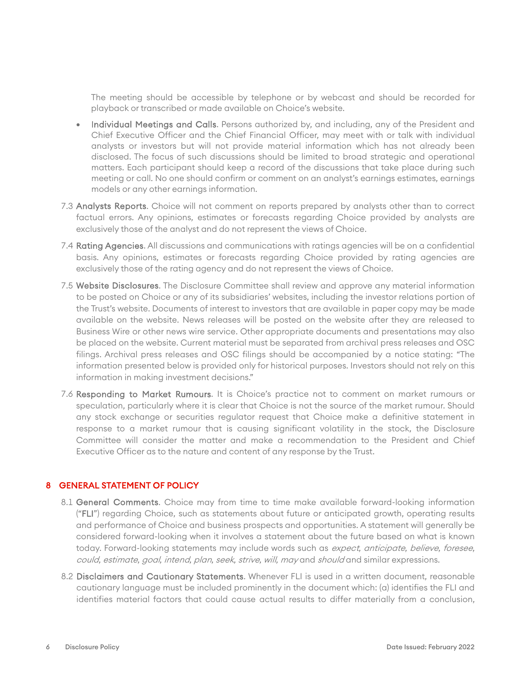The meeting should be accessible by telephone or by webcast and should be recorded for playback or transcribed or made available on Choice's website.

- Individual Meetings and Calls. Persons authorized by, and including, any of the President and Chief Executive Officer and the Chief Financial Officer, may meet with or talk with individual analysts or investors but will not provide material information which has not already been disclosed. The focus of such discussions should be limited to broad strategic and operational matters. Each participant should keep a record of the discussions that take place during such meeting or call. No one should confirm or comment on an analyst's earnings estimates, earnings models or any other earnings information.
- 7.3 Analysts Reports. Choice will not comment on reports prepared by analysts other than to correct factual errors. Any opinions, estimates or forecasts regarding Choice provided by analysts are exclusively those of the analyst and do not represent the views of Choice.
- 7.4 Rating Agencies. All discussions and communications with ratings agencies will be on a confidential basis. Any opinions, estimates or forecasts regarding Choice provided by rating agencies are exclusively those of the rating agency and do not represent the views of Choice.
- 7.5 Website Disclosures. The Disclosure Committee shall review and approve any material information to be posted on Choice or any of its subsidiaries' websites, including the investor relations portion of the Trust's website. Documents of interest to investors that are available in paper copy may be made available on the website. News releases will be posted on the website after they are released to Business Wire or other news wire service. Other appropriate documents and presentations may also be placed on the website. Current material must be separated from archival press releases and OSC filings. Archival press releases and OSC filings should be accompanied by a notice stating: "The information presented below is provided only for historical purposes. Investors should not rely on this information in making investment decisions."
- 7.6 Responding to Market Rumours. It is Choice's practice not to comment on market rumours or speculation, particularly where it is clear that Choice is not the source of the market rumour. Should any stock exchange or securities regulator request that Choice make a definitive statement in response to a market rumour that is causing significant volatility in the stock, the Disclosure Committee will consider the matter and make a recommendation to the President and Chief Executive Officer as to the nature and content of any response by the Trust.

# 8 GENERAL STATEMENT OF POLICY

- 8.1 General Comments. Choice may from time to time make available forward-looking information ("FLI") regarding Choice, such as statements about future or anticipated growth, operating results and performance of Choice and business prospects and opportunities. A statement will generally be considered forward-looking when it involves a statement about the future based on what is known today. Forward-looking statements may include words such as *expect, anticipate, believe, foresee*, could, estimate, goal, intend, plan, seek, strive, will, may and should and similar expressions.
- 8.2 Disclaimers and Cautionary Statements. Whenever FLI is used in a written document, reasonable cautionary language must be included prominently in the document which: (a) identifies the FLI and identifies material factors that could cause actual results to differ materially from a conclusion,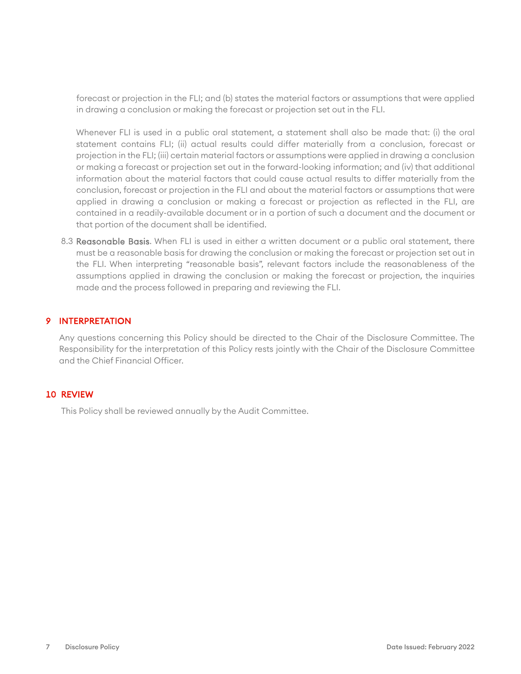forecast or projection in the FLI; and (b) states the material factors or assumptions that were applied in drawing a conclusion or making the forecast or projection set out in the FLI.

Whenever FLI is used in a public oral statement, a statement shall also be made that: (i) the oral statement contains FLI; (ii) actual results could differ materially from a conclusion, forecast or projection in the FLI; (iii) certain material factors or assumptions were applied in drawing a conclusion or making a forecast or projection set out in the forward-looking information; and (iv) that additional information about the material factors that could cause actual results to differ materially from the conclusion, forecast or projection in the FLI and about the material factors or assumptions that were applied in drawing a conclusion or making a forecast or projection as reflected in the FLI, are contained in a readily-available document or in a portion of such a document and the document or that portion of the document shall be identified.

8.3 Reasonable Basis. When FLI is used in either a written document or a public oral statement, there must be a reasonable basis for drawing the conclusion or making the forecast or projection set out in the FLI. When interpreting "reasonable basis", relevant factors include the reasonableness of the assumptions applied in drawing the conclusion or making the forecast or projection, the inquiries made and the process followed in preparing and reviewing the FLI.

## 9 INTERPRETATION

Any questions concerning this Policy should be directed to the Chair of the Disclosure Committee. The Responsibility for the interpretation of this Policy rests jointly with the Chair of the Disclosure Committee and the Chief Financial Officer.

## 10 REVIEW

This Policy shall be reviewed annually by the Audit Committee.